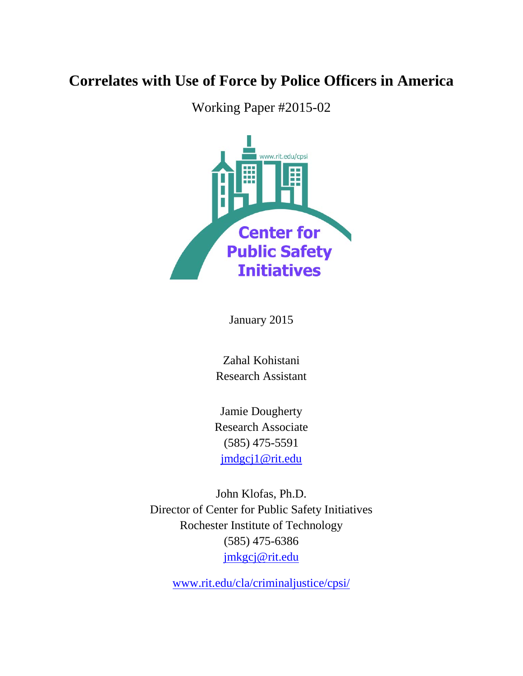## **Correlates with Use of Force by Police Officers in America**

Working Paper #2015-02



January 2015

Zahal Kohistani Research Assistant

Jamie Dougherty Research Associate (585) 475-5591 [jmdgcj1@rit.edu](mailto:jmdgcj1@rit.edu)

John Klofas, Ph.D. Director of Center for Public Safety Initiatives Rochester Institute of Technology (585) 475-6386 [jmkgcj@rit.edu](mailto:jmkgcj@rit.edu)

[www.rit.edu/cla/criminaljustice/cpsi/](http://www.rit.edu/cla/criminaljustice/cpsi/)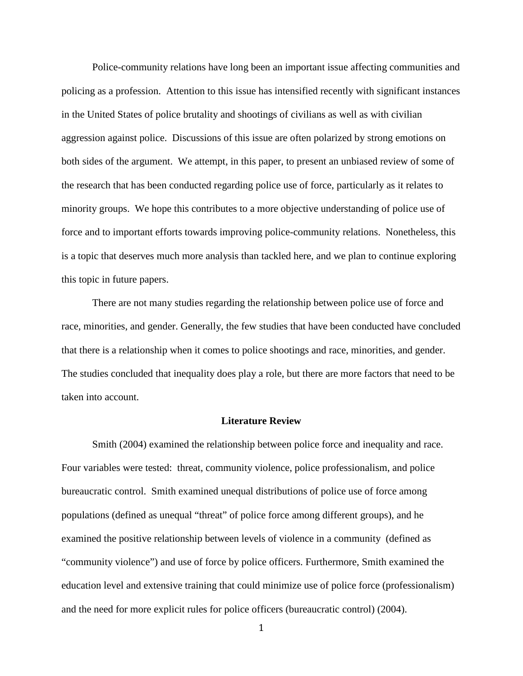Police-community relations have long been an important issue affecting communities and policing as a profession. Attention to this issue has intensified recently with significant instances in the United States of police brutality and shootings of civilians as well as with civilian aggression against police. Discussions of this issue are often polarized by strong emotions on both sides of the argument. We attempt, in this paper, to present an unbiased review of some of the research that has been conducted regarding police use of force, particularly as it relates to minority groups. We hope this contributes to a more objective understanding of police use of force and to important efforts towards improving police-community relations. Nonetheless, this is a topic that deserves much more analysis than tackled here, and we plan to continue exploring this topic in future papers.

There are not many studies regarding the relationship between police use of force and race, minorities, and gender. Generally, the few studies that have been conducted have concluded that there is a relationship when it comes to police shootings and race, minorities, and gender. The studies concluded that inequality does play a role, but there are more factors that need to be taken into account.

## **Literature Review**

Smith (2004) examined the relationship between police force and inequality and race. Four variables were tested: threat, community violence, police professionalism, and police bureaucratic control. Smith examined unequal distributions of police use of force among populations (defined as unequal "threat" of police force among different groups), and he examined the positive relationship between levels of violence in a community (defined as "community violence") and use of force by police officers. Furthermore, Smith examined the education level and extensive training that could minimize use of police force (professionalism) and the need for more explicit rules for police officers (bureaucratic control) (2004).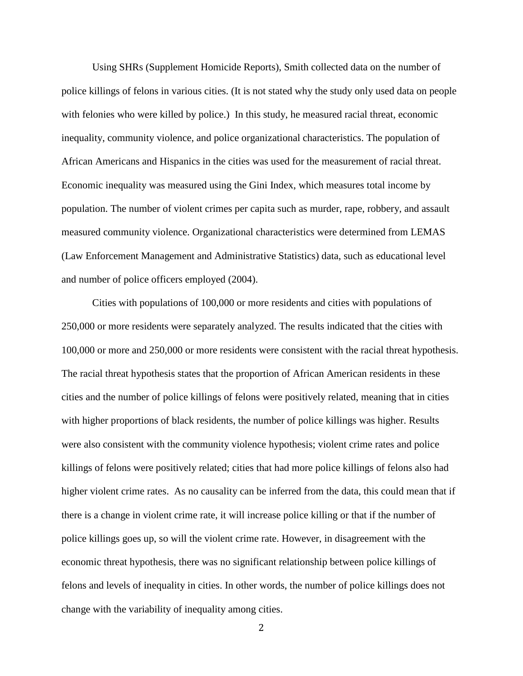Using SHRs (Supplement Homicide Reports), Smith collected data on the number of police killings of felons in various cities. (It is not stated why the study only used data on people with felonies who were killed by police.) In this study, he measured racial threat, economic inequality, community violence, and police organizational characteristics. The population of African Americans and Hispanics in the cities was used for the measurement of racial threat. Economic inequality was measured using the Gini Index, which measures total income by population. The number of violent crimes per capita such as murder, rape, robbery, and assault measured community violence. Organizational characteristics were determined from LEMAS (Law Enforcement Management and Administrative Statistics) data, such as educational level and number of police officers employed (2004).

Cities with populations of 100,000 or more residents and cities with populations of 250,000 or more residents were separately analyzed. The results indicated that the cities with 100,000 or more and 250,000 or more residents were consistent with the racial threat hypothesis. The racial threat hypothesis states that the proportion of African American residents in these cities and the number of police killings of felons were positively related, meaning that in cities with higher proportions of black residents, the number of police killings was higher. Results were also consistent with the community violence hypothesis; violent crime rates and police killings of felons were positively related; cities that had more police killings of felons also had higher violent crime rates. As no causality can be inferred from the data, this could mean that if there is a change in violent crime rate, it will increase police killing or that if the number of police killings goes up, so will the violent crime rate. However, in disagreement with the economic threat hypothesis, there was no significant relationship between police killings of felons and levels of inequality in cities. In other words, the number of police killings does not change with the variability of inequality among cities.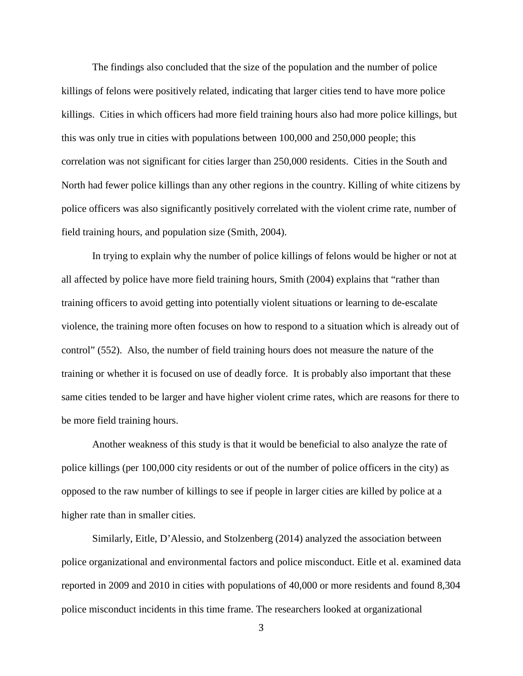The findings also concluded that the size of the population and the number of police killings of felons were positively related, indicating that larger cities tend to have more police killings. Cities in which officers had more field training hours also had more police killings, but this was only true in cities with populations between 100,000 and 250,000 people; this correlation was not significant for cities larger than 250,000 residents. Cities in the South and North had fewer police killings than any other regions in the country. Killing of white citizens by police officers was also significantly positively correlated with the violent crime rate, number of field training hours, and population size (Smith, 2004).

In trying to explain why the number of police killings of felons would be higher or not at all affected by police have more field training hours, Smith (2004) explains that "rather than training officers to avoid getting into potentially violent situations or learning to de-escalate violence, the training more often focuses on how to respond to a situation which is already out of control" (552). Also, the number of field training hours does not measure the nature of the training or whether it is focused on use of deadly force. It is probably also important that these same cities tended to be larger and have higher violent crime rates, which are reasons for there to be more field training hours.

Another weakness of this study is that it would be beneficial to also analyze the rate of police killings (per 100,000 city residents or out of the number of police officers in the city) as opposed to the raw number of killings to see if people in larger cities are killed by police at a higher rate than in smaller cities.

Similarly, Eitle, D'Alessio, and Stolzenberg (2014) analyzed the association between police organizational and environmental factors and police misconduct. Eitle et al. examined data reported in 2009 and 2010 in cities with populations of 40,000 or more residents and found 8,304 police misconduct incidents in this time frame. The researchers looked at organizational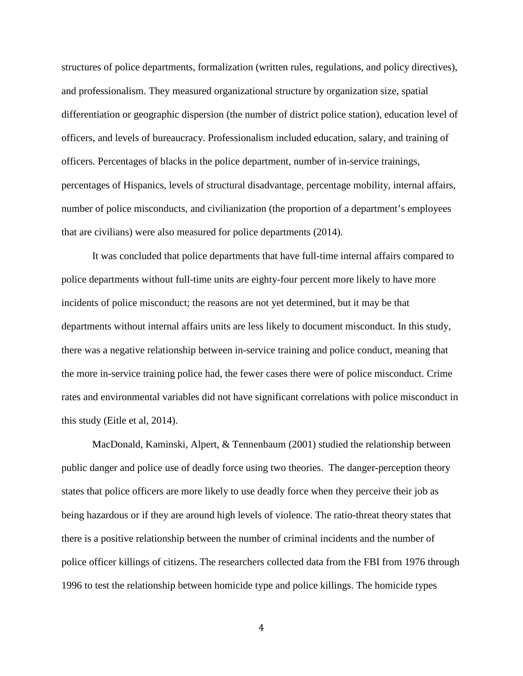structures of police departments, formalization (written rules, regulations, and policy directives), and professionalism. They measured organizational structure by organization size, spatial differentiation or geographic dispersion (the number of district police station), education level of officers, and levels of bureaucracy. Professionalism included education, salary, and training of officers. Percentages of blacks in the police department, number of in-service trainings, percentages of Hispanics, levels of structural disadvantage, percentage mobility, internal affairs, number of police misconducts, and civilianization (the proportion of a department's employees that are civilians) were also measured for police departments (2014).

It was concluded that police departments that have full-time internal affairs compared to police departments without full-time units are eighty-four percent more likely to have more incidents of police misconduct; the reasons are not yet determined, but it may be that departments without internal affairs units are less likely to document misconduct. In this study, there was a negative relationship between in-service training and police conduct, meaning that the more in-service training police had, the fewer cases there were of police misconduct. Crime rates and environmental variables did not have significant correlations with police misconduct in this study (Eitle et al, 2014).

MacDonald, Kaminski, Alpert, & Tennenbaum (2001) studied the relationship between public danger and police use of deadly force using two theories. The danger-perception theory states that police officers are more likely to use deadly force when they perceive their job as being hazardous or if they are around high levels of violence. The ratio-threat theory states that there is a positive relationship between the number of criminal incidents and the number of police officer killings of citizens. The researchers collected data from the FBI from 1976 through 1996 to test the relationship between homicide type and police killings. The homicide types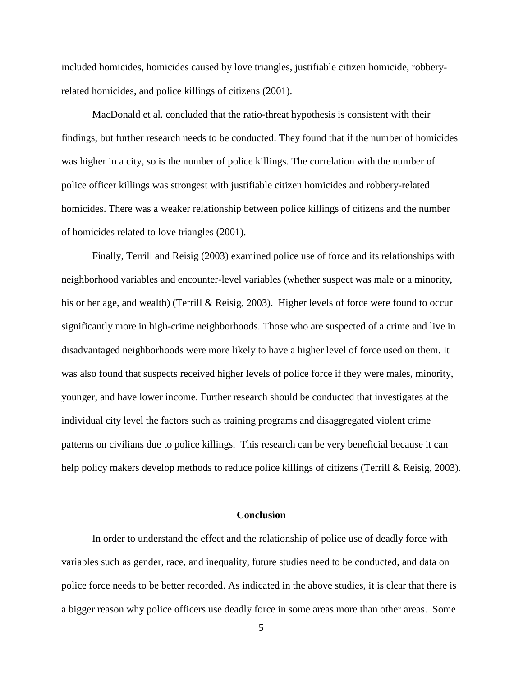included homicides, homicides caused by love triangles, justifiable citizen homicide, robberyrelated homicides, and police killings of citizens (2001).

MacDonald et al. concluded that the ratio-threat hypothesis is consistent with their findings, but further research needs to be conducted. They found that if the number of homicides was higher in a city, so is the number of police killings. The correlation with the number of police officer killings was strongest with justifiable citizen homicides and robbery-related homicides. There was a weaker relationship between police killings of citizens and the number of homicides related to love triangles (2001).

Finally, Terrill and Reisig (2003) examined police use of force and its relationships with neighborhood variables and encounter-level variables (whether suspect was male or a minority, his or her age, and wealth) (Terrill & Reisig, 2003). Higher levels of force were found to occur significantly more in high-crime neighborhoods. Those who are suspected of a crime and live in disadvantaged neighborhoods were more likely to have a higher level of force used on them. It was also found that suspects received higher levels of police force if they were males, minority, younger, and have lower income. Further research should be conducted that investigates at the individual city level the factors such as training programs and disaggregated violent crime patterns on civilians due to police killings. This research can be very beneficial because it can help policy makers develop methods to reduce police killings of citizens (Terrill & Reisig, 2003).

## **Conclusion**

In order to understand the effect and the relationship of police use of deadly force with variables such as gender, race, and inequality, future studies need to be conducted, and data on police force needs to be better recorded. As indicated in the above studies, it is clear that there is a bigger reason why police officers use deadly force in some areas more than other areas. Some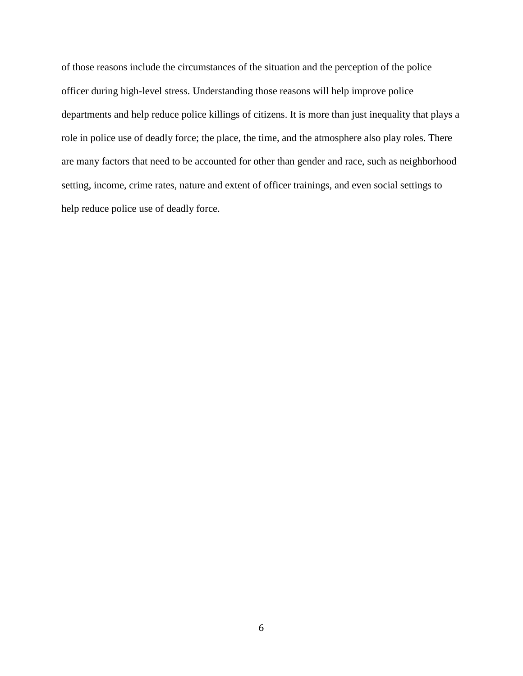of those reasons include the circumstances of the situation and the perception of the police officer during high-level stress. Understanding those reasons will help improve police departments and help reduce police killings of citizens. It is more than just inequality that plays a role in police use of deadly force; the place, the time, and the atmosphere also play roles. There are many factors that need to be accounted for other than gender and race, such as neighborhood setting, income, crime rates, nature and extent of officer trainings, and even social settings to help reduce police use of deadly force.